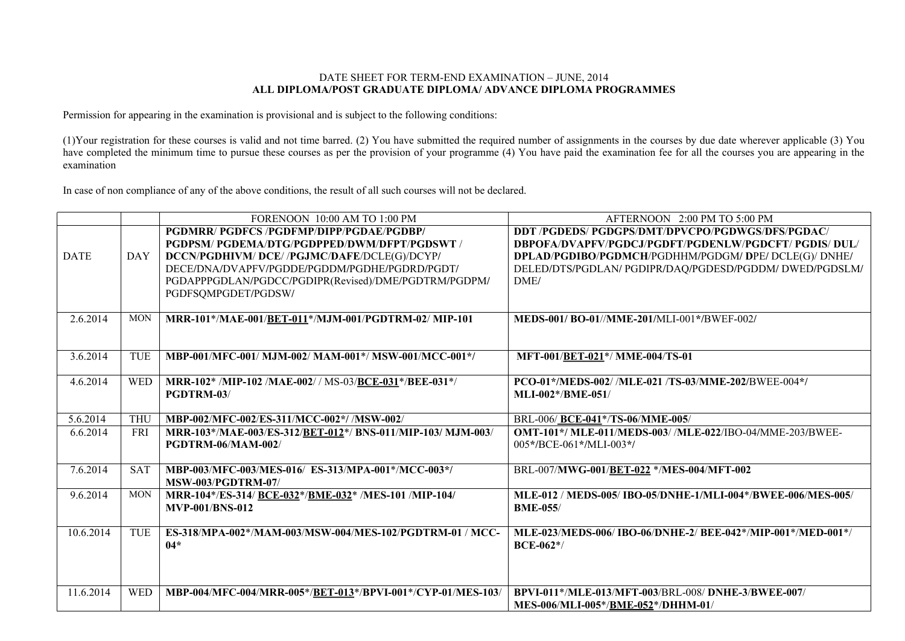## DATE SHEET FOR TERM-END EXAMINATION – JUNE, 2014 **ALL DIPLOMA/POST GRADUATE DIPLOMA/ ADVANCE DIPLOMA PROGRAMMES**

Permission for appearing in the examination is provisional and is subject to the following conditions:

(1)Your registration for these courses is valid and not time barred. (2) You have submitted the required number of assignments in the courses by due date wherever applicable (3) You have completed the minimum time to pursue these courses as per the provision of your programme (4) You have paid the examination fee for all the courses you are appearing in the examination

In case of non compliance of any of the above conditions, the result of all such courses will not be declared.

|             |            | FORENOON 10:00 AM TO 1:00 PM                                                                                                                                                             | AFTERNOON 2:00 PM TO 5:00 PM                                                                                                                                                                                                  |
|-------------|------------|------------------------------------------------------------------------------------------------------------------------------------------------------------------------------------------|-------------------------------------------------------------------------------------------------------------------------------------------------------------------------------------------------------------------------------|
| <b>DATE</b> | <b>DAY</b> | PGDMRR/ PGDFCS /PGDFMP/DIPP/PGDAE/PGDBP/<br>PGDPSM/ PGDEMA/DTG/PGDPPED/DWM/DFPT/PGDSWT /<br>DCCN/PGDHIVM/ DCE//PGJMC/DAFE/DCLE(G)/DCYP/<br>DECE/DNA/DVAPFV/PGDDE/PGDDM/PGDHE/PGDRD/PGDT/ | DDT /PGDEDS/ PGDGPS/DMT/DPVCPO/PGDWGS/DFS/PGDAC/<br>DBPOFA/DVAPFV/PGDCJ/PGDFT/PGDENLW/PGDCFT/ PGDIS/ DUL/<br>DPLAD/PGDIBO/PGDMCH/PGDHHM/PGDGM/ DPE/ DCLE(G)/ DNHE/<br>DELED/DTS/PGDLAN/ PGDIPR/DAQ/PGDESD/PGDDM/ DWED/PGDSLM/ |
|             |            | PGDAPPPGDLAN/PGDCC/PGDIPR(Revised)/DME/PGDTRM/PGDPM/<br>PGDFSQMPGDET/PGDSW/                                                                                                              | DME/                                                                                                                                                                                                                          |
| 2.6.2014    | <b>MON</b> | MRR-101*/MAE-001/BET-011*/MJM-001/PGDTRM-02/MIP-101                                                                                                                                      | MEDS-001/BO-01//MME-201/MLI-001*/BWEF-002/                                                                                                                                                                                    |
| 3.6.2014    | <b>TUE</b> | MBP-001/MFC-001/ MJM-002/ MAM-001*/ MSW-001/MCC-001*/                                                                                                                                    | MFT-001/BET-021*/ MME-004/TS-01                                                                                                                                                                                               |
| 4.6.2014    | <b>WED</b> | MRR-102* /MIP-102 /MAE-002/ / MS-03/BCE-031*/BEE-031*/<br>PGDTRM-03/                                                                                                                     | PCO-01*/MEDS-002/ /MLE-021 /TS-03/MME-202/BWEE-004*/<br><b>MLI-002*/BME-051/</b>                                                                                                                                              |
| 5.6.2014    | <b>THU</b> | MBP-002/MFC-002/ES-311/MCC-002*/ /MSW-002/                                                                                                                                               | BRL-006/BCE-041*/TS-06/MME-005/                                                                                                                                                                                               |
| 6.6.2014    | <b>FRI</b> | MRR-103*/MAE-003/ES-312/BET-012*/ BNS-011/MIP-103/ MJM-003/<br><b>PGDTRM-06/MAM-002/</b>                                                                                                 | OMT-101*/ MLE-011/MEDS-003/ /MLE-022/IBO-04/MME-203/BWEE-<br>005*/BCE-061*/MLI-003*/                                                                                                                                          |
| 7.6.2014    | <b>SAT</b> | MBP-003/MFC-003/MES-016/ ES-313/MPA-001*/MCC-003*/<br><b>MSW-003/PGDTRM-07/</b>                                                                                                          | BRL-007/MWG-001/BET-022 */MES-004/MFT-002                                                                                                                                                                                     |
| 9.6.2014    | <b>MON</b> | MRR-104*/ES-314/ BCE-032*/BME-032* /MES-101 /MIP-104/<br><b>MVP-001/BNS-012</b>                                                                                                          | MLE-012 / MEDS-005/ IBO-05/DNHE-1/MLI-004*/BWEE-006/MES-005/<br><b>BME-055/</b>                                                                                                                                               |
| 10.6.2014   | <b>TUE</b> | ES-318/MPA-002*/MAM-003/MSW-004/MES-102/PGDTRM-01 / MCC-<br>$04*$                                                                                                                        | MLE-023/MEDS-006/ IBO-06/DNHE-2/ BEE-042*/MIP-001*/MED-001*/<br><b>BCE-062*/</b>                                                                                                                                              |
| 11.6.2014   | <b>WED</b> | MBP-004/MFC-004/MRR-005*/BET-013*/BPVI-001*/CYP-01/MES-103/                                                                                                                              | BPVI-011*/MLE-013/MFT-003/BRL-008/ DNHE-3/BWEE-007/<br>MES-006/MLI-005*/BME-052*/DHHM-01/                                                                                                                                     |